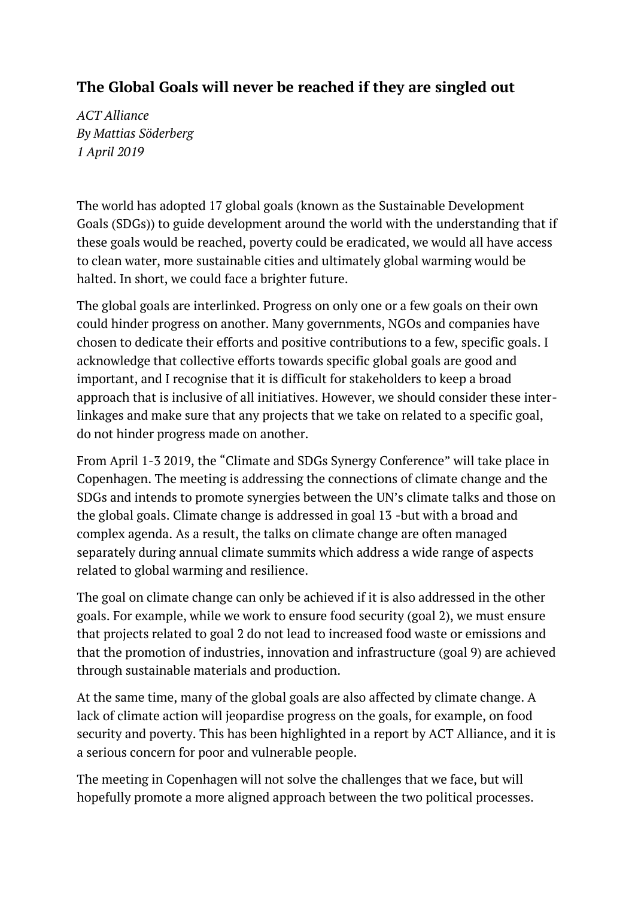## **The Global Goals will never be reached if they are singled out**

*ACT Alliance By Mattias Söderberg 1 April 2019*

The world has adopted 17 global goals (known as the Sustainable Development Goals (SDGs)) to guide development around the world with the understanding that if these goals would be reached, poverty could be eradicated, we would all have access to clean water, more sustainable cities and ultimately global warming would be halted. In short, we could face a brighter future.

The global goals are interlinked. Progress on only one or a few goals on their own could hinder progress on another. Many governments, NGOs and companies have chosen to dedicate their efforts and positive contributions to a few, specific goals. I acknowledge that collective efforts towards specific global goals are good and important, and I recognise that it is difficult for stakeholders to keep a broad approach that is inclusive of all initiatives. However, we should consider these interlinkages and make sure that any projects that we take on related to a specific goal, do not hinder progress made on another.

From April 1-3 2019, the "Climate and SDGs Synergy Conference" will take place in Copenhagen. The meeting is addressing the connections of climate change and the SDGs and intends to promote synergies between the UN's climate talks and those on the global goals. Climate change is addressed in goal 13 -but with a broad and complex agenda. As a result, the talks on climate change are often managed separately during annual climate summits which address a wide range of aspects related to global warming and resilience.

The goal on climate change can only be achieved if it is also addressed in the other goals. For example, while we work to ensure food security (goal 2), we must ensure that projects related to goal 2 do not lead to increased food waste or emissions and that the promotion of industries, innovation and infrastructure (goal 9) are achieved through sustainable materials and production.

At the same time, many of the global goals are also affected by climate change. A lack of climate action will jeopardise progress on the goals, for example, on food security and poverty. This has been highlighted in a report by ACT [Alliance,](https://actalliance.org/?post_type=act_news&p=9693) and it is a serious concern for poor and vulnerable people.

The meeting in Copenhagen will not solve the challenges that we face, but will hopefully promote a more aligned approach between the two political processes.